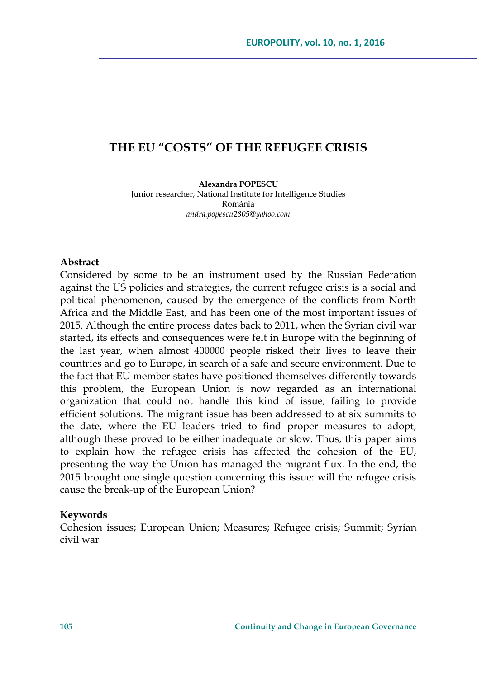# **THE EU "COSTS" OF THE REFUGEE CRISIS**

**Alexandra POPESCU** Junior researcher, National Institute for Intelligence Studies România *andra.popescu2805@yahoo.com*

### **Abstract**

Considered by some to be an instrument used by the Russian Federation against the US policies and strategies, the current refugee crisis is a social and political phenomenon, caused by the emergence of the conflicts from North Africa and the Middle East, and has been one of the most important issues of 2015. Although the entire process dates back to 2011, when the Syrian civil war started, its effects and consequences were felt in Europe with the beginning of the last year, when almost 400000 people risked their lives to leave their countries and go to Europe, in search of a safe and secure environment. Due to the fact that EU member states have positioned themselves differently towards this problem, the European Union is now regarded as an international organization that could not handle this kind of issue, failing to provide efficient solutions. The migrant issue has been addressed to at six summits to the date, where the EU leaders tried to find proper measures to adopt, although these proved to be either inadequate or slow. Thus, this paper aims to explain how the refugee crisis has affected the cohesion of the EU, presenting the way the Union has managed the migrant flux. In the end, the 2015 brought one single question concerning this issue: will the refugee crisis cause the break-up of the European Union?

#### **Keywords**

Cohesion issues; European Union; Measures; Refugee crisis; Summit; Syrian civil war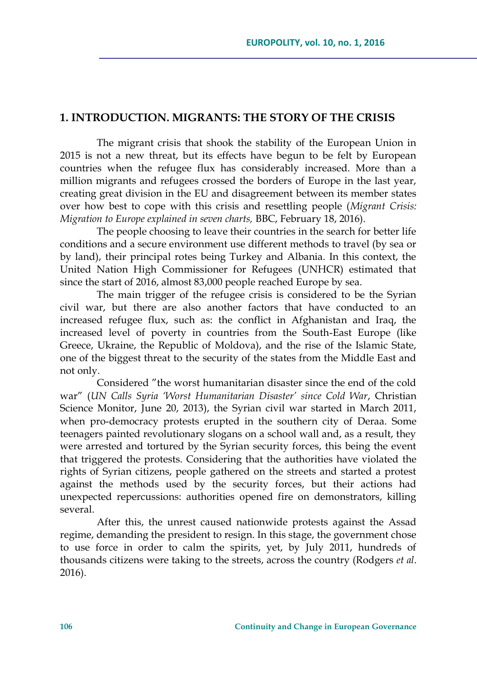## **1. INTRODUCTION. MIGRANTS: THE STORY OF THE CRISIS**

The migrant crisis that shook the stability of the European Union in 2015 is not a new threat, but its effects have begun to be felt by European countries when the refugee flux has considerably increased. More than a million migrants and refugees crossed the borders of Europe in the last year, creating great division in the EU and disagreement between its member states over how best to cope with this crisis and resettling people (*Migrant Crisis: Migration to Europe explained in seven charts,* BBC, February 18, 2016).

The people choosing to leave their countries in the search for better life conditions and a secure environment use different methods to travel (by sea or by land), their principal rotes being Turkey and Albania. In this context, the United Nation High Commissioner for Refugees (UNHCR) estimated that since the start of 2016, almost 83,000 people reached Europe by sea.

The main trigger of the refugee crisis is considered to be the Syrian civil war, but there are also another factors that have conducted to an increased refugee flux, such as: the conflict in Afghanistan and Iraq, the increased level of poverty in countries from the South-East Europe (like Greece, Ukraine, the Republic of Moldova), and the rise of the Islamic State, one of the biggest threat to the security of the states from the Middle East and not only.

Considered "the worst humanitarian disaster since the end of the cold war" (*UN Calls Syria 'Worst Humanitarian Disaster' since Cold War*, Christian Science Monitor, June 20, 2013), the Syrian civil war started in March 2011, when pro-democracy protests erupted in the southern city of Deraa. Some teenagers painted revolutionary slogans on a school wall and, as a result, they were arrested and tortured by the Syrian security forces, this being the event that triggered the protests. Considering that the authorities have violated the rights of Syrian citizens, people gathered on the streets and started a protest against the methods used by the security forces, but their actions had unexpected repercussions: authorities opened fire on demonstrators, killing several.

After this, the unrest caused nationwide protests against the Assad regime, demanding the president to resign. In this stage, the government chose to use force in order to calm the spirits, yet, by July 2011, hundreds of thousands citizens were taking to the streets, across the country (Rodgers *et al*. 2016).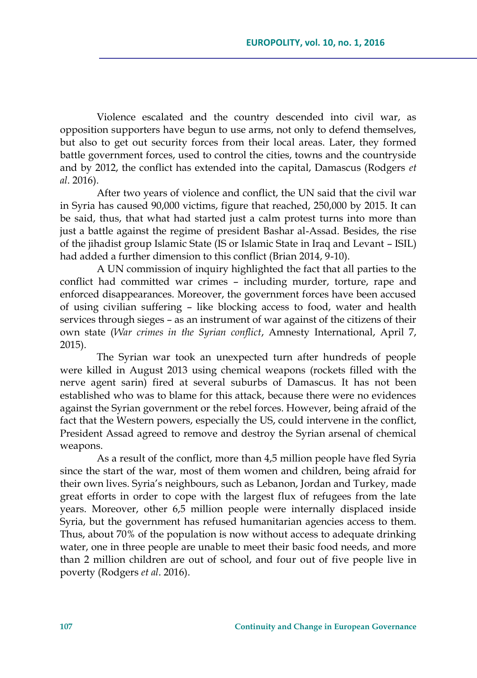Violence escalated and the country descended into civil war, as opposition supporters have begun to use arms, not only to defend themselves, but also to get out security forces from their local areas. Later, they formed battle government forces, used to control the cities, towns and the countryside and by 2012, the conflict has extended into the capital, Damascus (Rodgers *et al*. 2016).

After two years of violence and conflict, the UN said that the civil war in Syria has caused 90,000 victims, figure that reached, 250,000 by 2015. It can be said, thus, that what had started just a calm protest turns into more than just a battle against the regime of president Bashar al-Assad. Besides, the rise of the jihadist group Islamic State (IS or Islamic State in Iraq and Levant – ISIL) had added a further dimension to this conflict (Brian 2014, 9-10).

A UN commission of inquiry highlighted the fact that all parties to the conflict had committed war crimes – including murder, torture, rape and enforced disappearances. Moreover, the government forces have been accused of using civilian suffering – like blocking access to food, water and health services through sieges – as an instrument of war against of the citizens of their own state (*War crimes in the Syrian conflict*, Amnesty International, April 7, 2015).

The Syrian war took an unexpected turn after hundreds of people were killed in August 2013 using chemical weapons (rockets filled with the nerve agent sarin) fired at several suburbs of Damascus. It has not been established who was to blame for this attack, because there were no evidences against the Syrian government or the rebel forces. However, being afraid of the fact that the Western powers, especially the US, could intervene in the conflict, President Assad agreed to remove and destroy the Syrian arsenal of chemical weapons.

As a result of the conflict, more than 4,5 million people have fled Syria since the start of the war, most of them women and children, being afraid for their own lives. Syria's neighbours, such as Lebanon, Jordan and Turkey, made great efforts in order to cope with the largest flux of refugees from the late years. Moreover, other 6,5 million people were internally displaced inside Syria, but the government has refused humanitarian agencies access to them. Thus, about 70% of the population is now without access to adequate drinking water, one in three people are unable to meet their basic food needs, and more than 2 million children are out of school, and four out of five people live in poverty (Rodgers *et al*. 2016).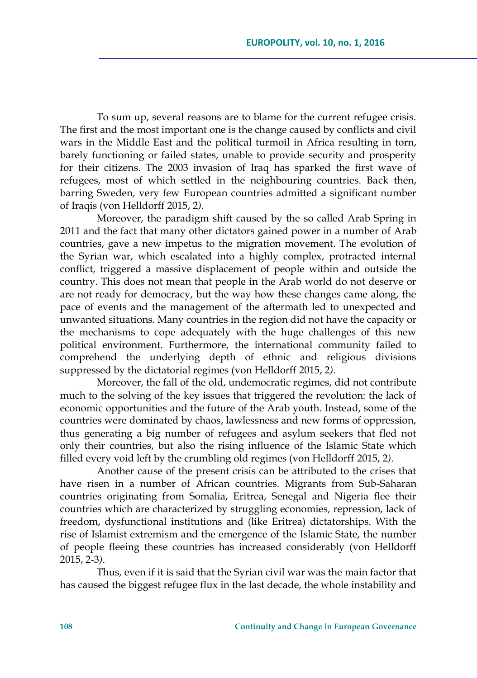To sum up, several reasons are to blame for the current refugee crisis. The first and the most important one is the change caused by conflicts and civil wars in the Middle East and the political turmoil in Africa resulting in torn, barely functioning or failed states, unable to provide security and prosperity for their citizens. The 2003 invasion of Iraq has sparked the first wave of refugees, most of which settled in the neighbouring countries. Back then, barring Sweden, very few European countries admitted a significant number of Iraqis (von Helldorff 2015, 2*)*.

Moreover, the paradigm shift caused by the so called Arab Spring in 2011 and the fact that many other dictators gained power in a number of Arab countries, gave a new impetus to the migration movement. The evolution of the Syrian war, which escalated into a highly complex, protracted internal conflict, triggered a massive displacement of people within and outside the country. This does not mean that people in the Arab world do not deserve or are not ready for democracy, but the way how these changes came along, the pace of events and the management of the aftermath led to unexpected and unwanted situations. Many countries in the region did not have the capacity or the mechanisms to cope adequately with the huge challenges of this new political environment. Furthermore, the international community failed to comprehend the underlying depth of ethnic and religious divisions suppressed by the dictatorial regimes (von Helldorff 2015, 2*)*.

Moreover, the fall of the old, undemocratic regimes, did not contribute much to the solving of the key issues that triggered the revolution: the lack of economic opportunities and the future of the Arab youth. Instead, some of the countries were dominated by chaos, lawlessness and new forms of oppression, thus generating a big number of refugees and asylum seekers that fled not only their countries, but also the rising influence of the Islamic State which filled every void left by the crumbling old regimes (von Helldorff 2015, 2*)*.

Another cause of the present crisis can be attributed to the crises that have risen in a number of African countries. Migrants from Sub-Saharan countries originating from Somalia, Eritrea, Senegal and Nigeria flee their countries which are characterized by struggling economies, repression, lack of freedom, dysfunctional institutions and (like Eritrea) dictatorships. With the rise of Islamist extremism and the emergence of the Islamic State, the number of people fleeing these countries has increased considerably (von Helldorff 2015, 2-3*)*.

Thus, even if it is said that the Syrian civil war was the main factor that has caused the biggest refugee flux in the last decade, the whole instability and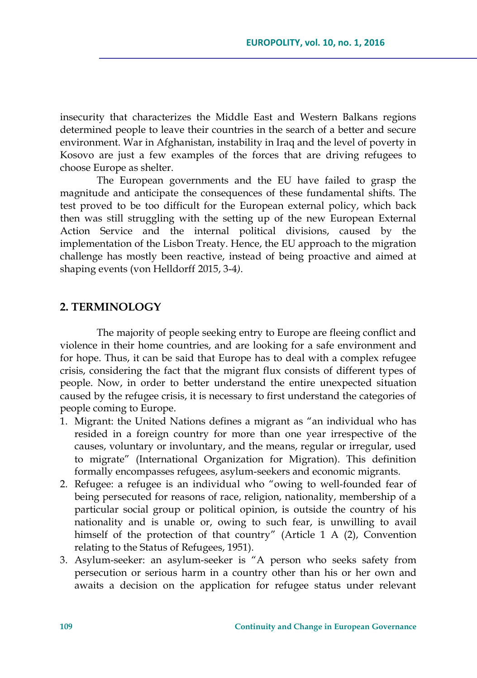insecurity that characterizes the Middle East and Western Balkans regions determined people to leave their countries in the search of a better and secure environment. War in Afghanistan, instability in Iraq and the level of poverty in Kosovo are just a few examples of the forces that are driving refugees to choose Europe as shelter.

The European governments and the EU have failed to grasp the magnitude and anticipate the consequences of these fundamental shifts. The test proved to be too difficult for the European external policy, which back then was still struggling with the setting up of the new European External Action Service and the internal political divisions, caused by the implementation of the Lisbon Treaty. Hence, the EU approach to the migration challenge has mostly been reactive, instead of being proactive and aimed at shaping events (von Helldorff 2015, 3-4*)*.

## **2. TERMINOLOGY**

The majority of people seeking entry to Europe are fleeing conflict and violence in their home countries, and are looking for a safe environment and for hope. Thus, it can be said that Europe has to deal with a complex refugee crisis, considering the fact that the migrant flux consists of different types of people. Now, in order to better understand the entire unexpected situation caused by the refugee crisis, it is necessary to first understand the categories of people coming to Europe.

- 1. Migrant: the United Nations defines a migrant as "an individual who has resided in a foreign country for more than one year irrespective of the causes, voluntary or involuntary, and the means, regular or irregular, used to migrate" (International Organization for Migration). This definition formally encompasses refugees, asylum-seekers and economic migrants.
- 2. Refugee: a refugee is an individual who "owing to well-founded fear of being persecuted for reasons of race, religion, nationality, membership of a particular social group or political opinion, is outside the country of his nationality and is unable or, owing to such fear, is unwilling to avail himself of the protection of that country" (Article 1 A (2), Convention relating to the Status of Refugees, 1951).
- 3. Asylum-seeker: an asylum-seeker is "A person who seeks safety from persecution or serious harm in a country other than his or her own and awaits a decision on the application for refugee status under relevant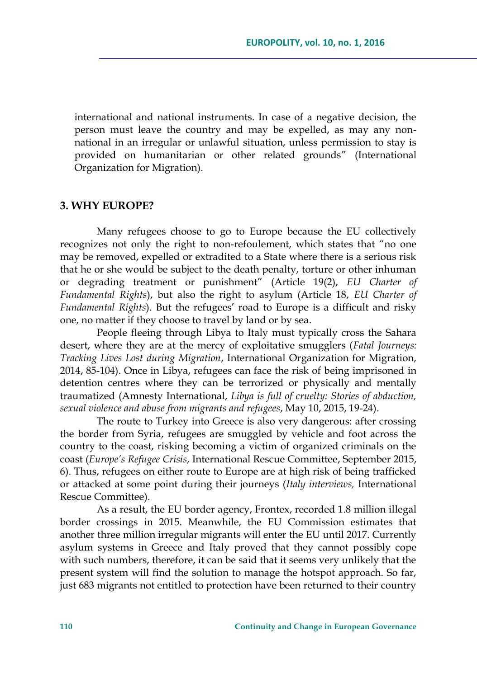international and national instruments. In case of a negative decision, the person must leave the country and may be expelled, as may any nonnational in an irregular or unlawful situation, unless permission to stay is provided on humanitarian or other related grounds" (International Organization for Migration).

### **3. WHY EUROPE?**

Many refugees choose to go to Europe because the EU collectively recognizes not only the right to non-refoulement, which states that "no one may be removed, expelled or extradited to a State where there is a serious risk that he or she would be subject to the death penalty, torture or other inhuman or degrading treatment or punishment" (Article 19(2), *EU Charter of Fundamental Rights*), but also the right to asylum (Article 18, *EU Charter of Fundamental Rights*). But the refugees' road to Europe is a difficult and risky one, no matter if they choose to travel by land or by sea.

People fleeing through Libya to Italy must typically cross the Sahara desert, where they are at the mercy of exploitative smugglers (*Fatal Journeys: Tracking Lives Lost during Migration*, International Organization for Migration, 2014, 85-104). Once in Libya, refugees can face the risk of being imprisoned in detention centres where they can be terrorized or physically and mentally traumatized (Amnesty International, *Libya is full of cruelty: Stories of abduction, sexual violence and abuse from migrants and refugees*, May 10, 2015, 19-24).

The route to Turkey into Greece is also very dangerous: after crossing the border from Syria, refugees are smuggled by vehicle and foot across the country to the coast, risking becoming a victim of organized criminals on the coast (*Europe's Refugee Crisis*, International Rescue Committee, September 2015, 6). Thus, refugees on either route to Europe are at high risk of being trafficked or attacked at some point during their journeys (*Italy interviews,* International Rescue Committee).

As a result, the EU border agency, Frontex, recorded 1.8 million illegal border crossings in 2015. Meanwhile, the EU Commission estimates that another three million irregular migrants will enter the EU until 2017. Currently asylum systems in Greece and Italy proved that they cannot possibly cope with such numbers, therefore, it can be said that it seems very unlikely that the present system will find the solution to manage the hotspot approach. So far, just 683 migrants not entitled to protection have been returned to their country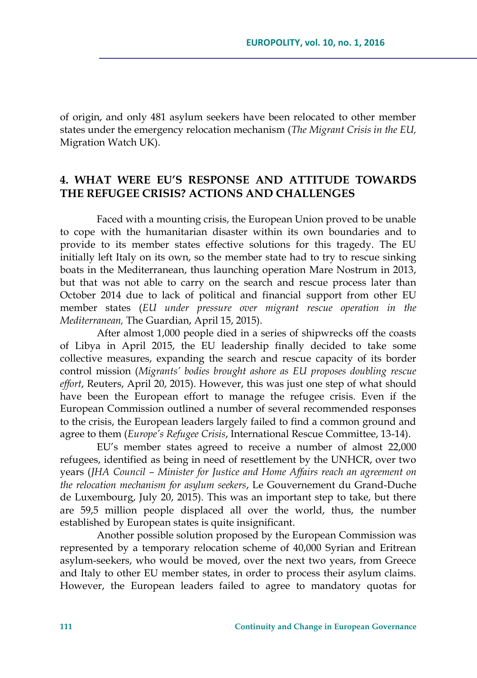of origin, and only 481 asylum seekers have been relocated to other member states under the emergency relocation mechanism (*The Migrant Crisis in the EU,*  Migration Watch UK).

## **4. WHAT WERE EU'S RESPONSE AND ATTITUDE TOWARDS THE REFUGEE CRISIS? ACTIONS AND CHALLENGES**

Faced with a mounting crisis, the European Union proved to be unable to cope with the humanitarian disaster within its own boundaries and to provide to its member states effective solutions for this tragedy. The EU initially left Italy on its own, so the member state had to try to rescue sinking boats in the Mediterranean, thus launching operation Mare Nostrum in 2013, but that was not able to carry on the search and rescue process later than October 2014 due to lack of political and financial support from other EU member states (*EU under pressure over migrant rescue operation in the Mediterranean,* The Guardian, April 15, 2015).

After almost 1,000 people died in a series of shipwrecks off the coasts of Libya in April 2015, the EU leadership finally decided to take some collective measures, expanding the search and rescue capacity of its border control mission (*Migrants' bodies brought ashore as EU proposes doubling rescue effort*, Reuters, April 20, 2015). However, this was just one step of what should have been the European effort to manage the refugee crisis. Even if the European Commission outlined a number of several recommended responses to the crisis, the European leaders largely failed to find a common ground and agree to them (*Europe's Refugee Crisis*, International Rescue Committee, 13-14).

EU's member states agreed to receive a number of almost 22,000 refugees, identified as being in need of resettlement by the UNHCR, over two years (*JHA Council – Minister for Justice and Home Affairs reach an agreement on the relocation mechanism for asylum seekers*, Le Gouvernement du Grand-Duche de Luxembourg, July 20, 2015). This was an important step to take, but there are 59,5 million people displaced all over the world, thus, the number established by European states is quite insignificant.

Another possible solution proposed by the European Commission was represented by a temporary relocation scheme of 40,000 Syrian and Eritrean asylum-seekers, who would be moved, over the next two years, from Greece and Italy to other EU member states, in order to process their asylum claims. However, the European leaders failed to agree to mandatory quotas for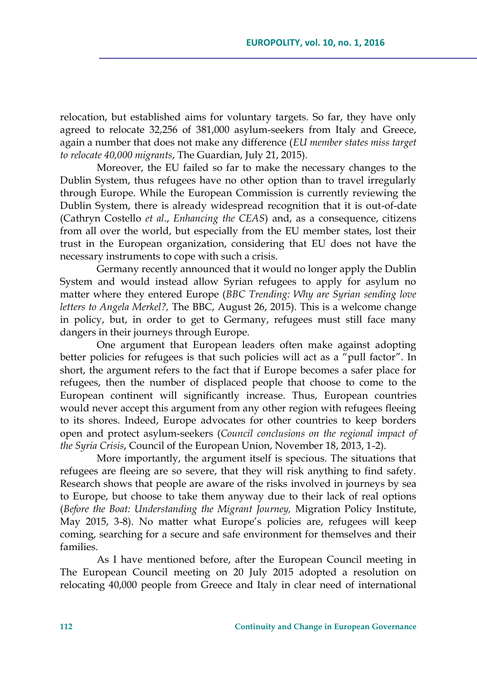relocation, but established aims for voluntary targets. So far, they have only agreed to relocate 32,256 of 381,000 asylum-seekers from Italy and Greece, again a number that does not make any difference (*EU member states miss target to relocate 40,000 migrants*, The Guardian, July 21, 2015).

Moreover, the EU failed so far to make the necessary changes to the Dublin System, thus refugees have no other option than to travel irregularly through Europe. While the European Commission is currently reviewing the Dublin System, there is already widespread recognition that it is out-of-date (Cathryn Costello *et al*., *Enhancing the CEAS*) and, as a consequence, citizens from all over the world, but especially from the EU member states, lost their trust in the European organization, considering that EU does not have the necessary instruments to cope with such a crisis.

Germany recently announced that it would no longer apply the Dublin System and would instead allow Syrian refugees to apply for asylum no matter where they entered Europe (*BBC Trending: Why are Syrian sending love letters to Angela Merkel?,* The BBC, August 26, 2015). This is a welcome change in policy, but, in order to get to Germany, refugees must still face many dangers in their journeys through Europe.

One argument that European leaders often make against adopting better policies for refugees is that such policies will act as a "pull factor". In short, the argument refers to the fact that if Europe becomes a safer place for refugees, then the number of displaced people that choose to come to the European continent will significantly increase. Thus, European countries would never accept this argument from any other region with refugees fleeing to its shores. Indeed, Europe advocates for other countries to keep borders open and protect asylum-seekers (*Council conclusions on the regional impact of the Syria Crisis*, Council of the European Union, November 18, 2013, 1-2).

More importantly, the argument itself is specious. The situations that refugees are fleeing are so severe, that they will risk anything to find safety. Research shows that people are aware of the risks involved in journeys by sea to Europe, but choose to take them anyway due to their lack of real options (*Before the Boat: Understanding the Migrant Journey,* Migration Policy Institute, May 2015, 3-8). No matter what Europe's policies are, refugees will keep coming, searching for a secure and safe environment for themselves and their families.

As I have mentioned before, after the European Council meeting in The European Council meeting on 20 July 2015 adopted a resolution on relocating 40,000 people from Greece and Italy in clear need of international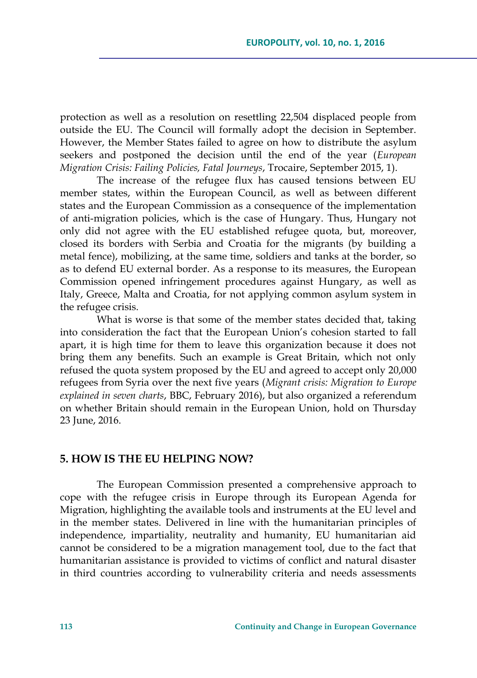protection as well as a resolution on resettling 22,504 displaced people from outside the EU. The Council will formally adopt the decision in September. However, the Member States failed to agree on how to distribute the asylum seekers and postponed the decision until the end of the year (*European Migration Crisis: Failing Policies, Fatal Journeys*, Trocaire, September 2015, 1).

The increase of the refugee flux has caused tensions between EU member states, within the European Council, as well as between different states and the European Commission as a consequence of the implementation of anti-migration policies, which is the case of Hungary. Thus, Hungary not only did not agree with the EU established refugee quota, but, moreover, closed its borders with Serbia and Croatia for the migrants (by building a metal fence), mobilizing, at the same time, soldiers and tanks at the border, so as to defend EU external border. As a response to its measures, the European Commission opened infringement procedures against Hungary, as well as Italy, Greece, Malta and Croatia, for not applying common asylum system in the refugee crisis.

What is worse is that some of the member states decided that, taking into consideration the fact that the European Union's cohesion started to fall apart, it is high time for them to leave this organization because it does not bring them any benefits. Such an example is Great Britain, which not only refused the quota system proposed by the EU and agreed to accept only 20,000 refugees from Syria over the next five years (*Migrant crisis: Migration to Europe explained in seven charts*, BBC, February 2016), but also organized a referendum on whether Britain should remain in the European Union, hold on Thursday 23 June, 2016.

### **5. HOW IS THE EU HELPING NOW?**

The European Commission presented a comprehensive approach to cope with the refugee crisis in Europe through its European Agenda for Migration, highlighting the available tools and instruments at the EU level and in the member states. Delivered in line with the humanitarian principles of independence, impartiality, neutrality and humanity, EU humanitarian aid cannot be considered to be a migration management tool, due to the fact that humanitarian assistance is provided to victims of conflict and natural disaster in third countries according to vulnerability criteria and needs assessments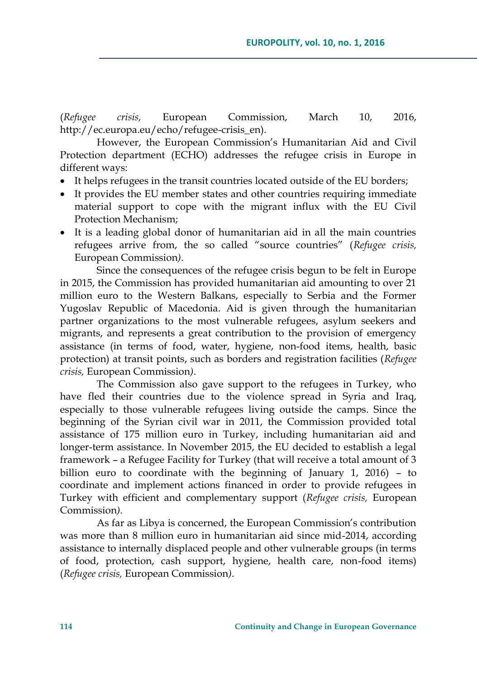(*Refugee crisis,* European Commission, March 10, 2016, http://ec.europa.eu/echo/refugee-crisis\_en).

However, the European Commission's Humanitarian Aid and Civil Protection department (ECHO) addresses the refugee crisis in Europe in different ways:

- It helps refugees in the transit countries located outside of the EU borders;
- It provides the EU member states and other countries requiring immediate material support to cope with the migrant influx with the EU Civil Protection Mechanism;
- It is a leading global donor of humanitarian aid in all the main countries refugees arrive from, the so called "source countries" (*Refugee crisis,*  European Commission*)*.

Since the consequences of the refugee crisis begun to be felt in Europe in 2015, the Commission has provided humanitarian aid amounting to over 21 million euro to the Western Balkans, especially to Serbia and the Former Yugoslav Republic of Macedonia. Aid is given through the humanitarian partner organizations to the most vulnerable refugees, asylum seekers and migrants, and represents a great contribution to the provision of emergency assistance (in terms of food, water, hygiene, non-food items, health, basic protection) at transit points, such as borders and registration facilities (*Refugee crisis,* European Commission*)*.

The Commission also gave support to the refugees in Turkey, who have fled their countries due to the violence spread in Syria and Iraq, especially to those vulnerable refugees living outside the camps. Since the beginning of the Syrian civil war in 2011, the Commission provided total assistance of 175 million euro in Turkey, including humanitarian aid and longer-term assistance. In November 2015, the EU decided to establish a legal framework – a Refugee Facility for Turkey (that will receive a total amount of 3 billion euro to coordinate with the beginning of January 1, 2016) – to coordinate and implement actions financed in order to provide refugees in Turkey with efficient and complementary support (*Refugee crisis,* European Commission*)*.

As far as Libya is concerned, the European Commission's contribution was more than 8 million euro in humanitarian aid since mid-2014, according assistance to internally displaced people and other vulnerable groups (in terms of food, protection, cash support, hygiene, health care, non-food items) (*Refugee crisis,* European Commission*)*.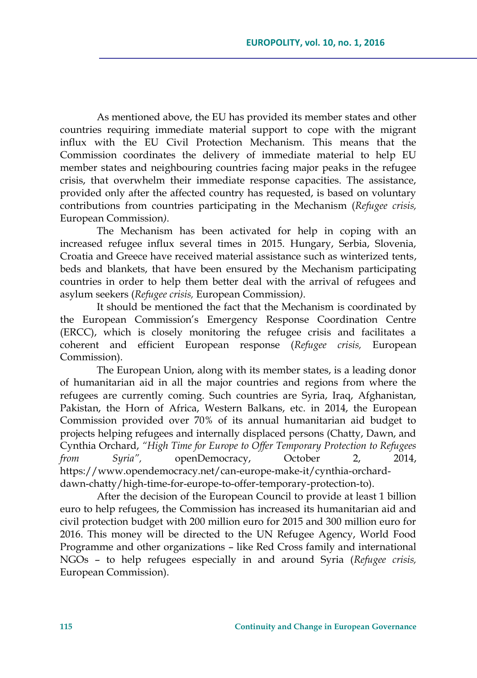As mentioned above, the EU has provided its member states and other countries requiring immediate material support to cope with the migrant influx with the EU Civil Protection Mechanism. This means that the Commission coordinates the delivery of immediate material to help EU member states and neighbouring countries facing major peaks in the refugee crisis, that overwhelm their immediate response capacities. The assistance, provided only after the affected country has requested, is based on voluntary contributions from countries participating in the Mechanism (*Refugee crisis,*  European Commission*)*.

The Mechanism has been activated for help in coping with an increased refugee influx several times in 2015. Hungary, Serbia, Slovenia, Croatia and Greece have received material assistance such as winterized tents, beds and blankets, that have been ensured by the Mechanism participating countries in order to help them better deal with the arrival of refugees and asylum seekers (*Refugee crisis,* European Commission*)*.

It should be mentioned the fact that the Mechanism is coordinated by the European Commission's Emergency Response Coordination Centre (ERCC), which is closely monitoring the refugee crisis and facilitates a coherent and efficient European response (*Refugee crisis,* European Commission).

The European Union, along with its member states, is a leading donor of humanitarian aid in all the major countries and regions from where the refugees are currently coming. Such countries are Syria, Iraq, Afghanistan, Pakistan, the Horn of Africa, Western Balkans, etc. in 2014, the European Commission provided over 70% of its annual humanitarian aid budget to projects helping refugees and internally displaced persons (Chatty, Dawn, and Cynthia Orchard, *"High Time for Europe to Offer Temporary Protection to Refugees from Syria",* openDemocracy, October 2, 2014, https://www.opendemocracy.net/can-europe-make-it/cynthia-orcharddawn-chatty/high-time-for-europe-to-offer-temporary-protection-to).

After the decision of the European Council to provide at least 1 billion euro to help refugees, the Commission has increased its humanitarian aid and civil protection budget with 200 million euro for 2015 and 300 million euro for 2016. This money will be directed to the UN Refugee Agency, World Food Programme and other organizations – like Red Cross family and international NGOs – to help refugees especially in and around Syria (*Refugee crisis,*  European Commission).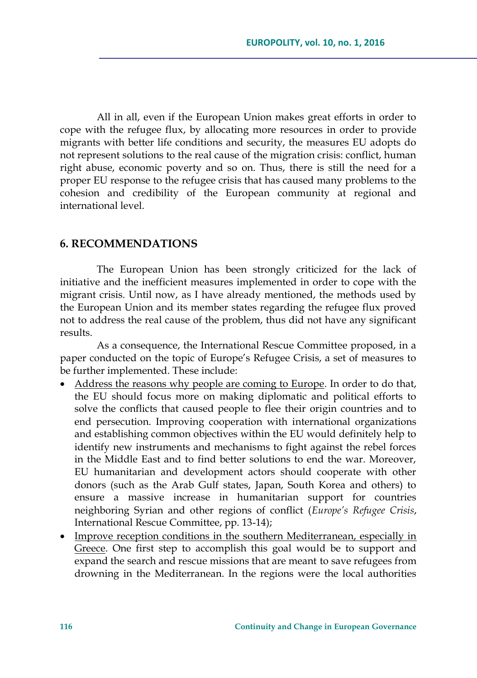All in all, even if the European Union makes great efforts in order to cope with the refugee flux, by allocating more resources in order to provide migrants with better life conditions and security, the measures EU adopts do not represent solutions to the real cause of the migration crisis: conflict, human right abuse, economic poverty and so on. Thus, there is still the need for a proper EU response to the refugee crisis that has caused many problems to the cohesion and credibility of the European community at regional and international level.

## **6. RECOMMENDATIONS**

The European Union has been strongly criticized for the lack of initiative and the inefficient measures implemented in order to cope with the migrant crisis. Until now, as I have already mentioned, the methods used by the European Union and its member states regarding the refugee flux proved not to address the real cause of the problem, thus did not have any significant results.

As a consequence, the International Rescue Committee proposed, in a paper conducted on the topic of Europe's Refugee Crisis, a set of measures to be further implemented. These include:

- Address the reasons why people are coming to Europe. In order to do that, the EU should focus more on making diplomatic and political efforts to solve the conflicts that caused people to flee their origin countries and to end persecution. Improving cooperation with international organizations and establishing common objectives within the EU would definitely help to identify new instruments and mechanisms to fight against the rebel forces in the Middle East and to find better solutions to end the war. Moreover, EU humanitarian and development actors should cooperate with other donors (such as the Arab Gulf states, Japan, South Korea and others) to ensure a massive increase in humanitarian support for countries neighboring Syrian and other regions of conflict (*Europe's Refugee Crisis*, International Rescue Committee, pp. 13-14);
- Improve reception conditions in the southern Mediterranean, especially in Greece. One first step to accomplish this goal would be to support and expand the search and rescue missions that are meant to save refugees from drowning in the Mediterranean. In the regions were the local authorities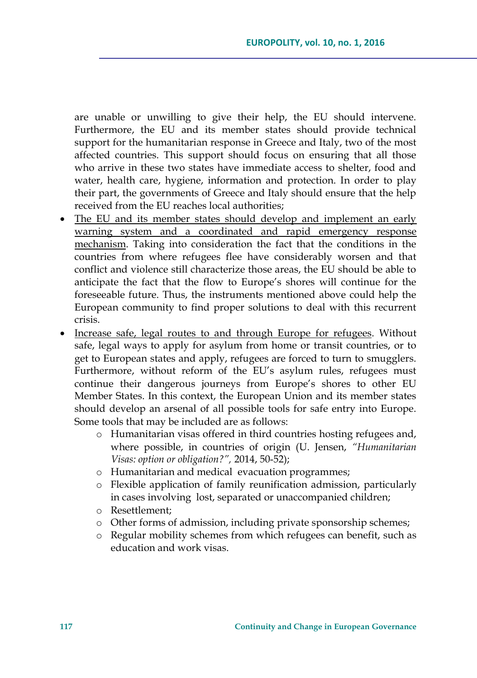are unable or unwilling to give their help, the EU should intervene. Furthermore, the EU and its member states should provide technical support for the humanitarian response in Greece and Italy, two of the most affected countries. This support should focus on ensuring that all those who arrive in these two states have immediate access to shelter, food and water, health care, hygiene, information and protection. In order to play their part, the governments of Greece and Italy should ensure that the help received from the EU reaches local authorities;

- The EU and its member states should develop and implement an early warning system and a coordinated and rapid emergency response mechanism. Taking into consideration the fact that the conditions in the countries from where refugees flee have considerably worsen and that conflict and violence still characterize those areas, the EU should be able to anticipate the fact that the flow to Europe's shores will continue for the foreseeable future. Thus, the instruments mentioned above could help the European community to find proper solutions to deal with this recurrent crisis.
- Increase safe, legal routes to and through Europe for refugees. Without safe, legal ways to apply for asylum from home or transit countries, or to get to European states and apply, refugees are forced to turn to smugglers. Furthermore, without reform of the EU's asylum rules, refugees must continue their dangerous journeys from Europe's shores to other EU Member States. In this context, the European Union and its member states should develop an arsenal of all possible tools for safe entry into Europe. Some tools that may be included are as follows:
	- o Humanitarian visas offered in third countries hosting refugees and, where possible, in countries of origin (U. Jensen, *"Humanitarian Visas: option or obligation?",* 2014, 50-52);
	- o Humanitarian and medical evacuation programmes;
	- o Flexible application of family reunification admission, particularly in cases involving lost, separated or unaccompanied children;
	- o Resettlement;
	- o Other forms of admission, including private sponsorship schemes;
	- o Regular mobility schemes from which refugees can benefit, such as education and work visas.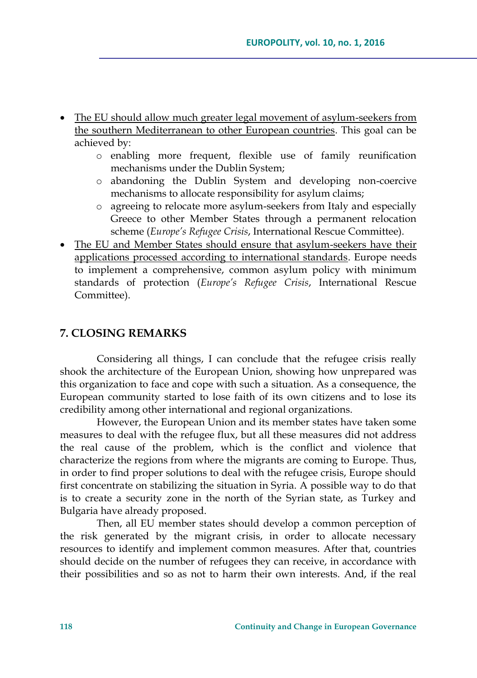- The EU should allow much greater legal movement of asylum-seekers from the southern Mediterranean to other European countries. This goal can be achieved by:
	- o enabling more frequent, flexible use of family reunification mechanisms under the Dublin System;
	- o abandoning the Dublin System and developing non-coercive mechanisms to allocate responsibility for asylum claims;
	- o agreeing to relocate more asylum-seekers from Italy and especially Greece to other Member States through a permanent relocation scheme (*Europe's Refugee Crisis*, International Rescue Committee).
- The EU and Member States should ensure that asylum-seekers have their applications processed according to international standards. Europe needs to implement a comprehensive, common asylum policy with minimum standards of protection (*Europe's Refugee Crisis*, International Rescue Committee).

## **7. CLOSING REMARKS**

Considering all things, I can conclude that the refugee crisis really shook the architecture of the European Union, showing how unprepared was this organization to face and cope with such a situation. As a consequence, the European community started to lose faith of its own citizens and to lose its credibility among other international and regional organizations.

However, the European Union and its member states have taken some measures to deal with the refugee flux, but all these measures did not address the real cause of the problem, which is the conflict and violence that characterize the regions from where the migrants are coming to Europe. Thus, in order to find proper solutions to deal with the refugee crisis, Europe should first concentrate on stabilizing the situation in Syria. A possible way to do that is to create a security zone in the north of the Syrian state, as Turkey and Bulgaria have already proposed.

Then, all EU member states should develop a common perception of the risk generated by the migrant crisis, in order to allocate necessary resources to identify and implement common measures. After that, countries should decide on the number of refugees they can receive, in accordance with their possibilities and so as not to harm their own interests. And, if the real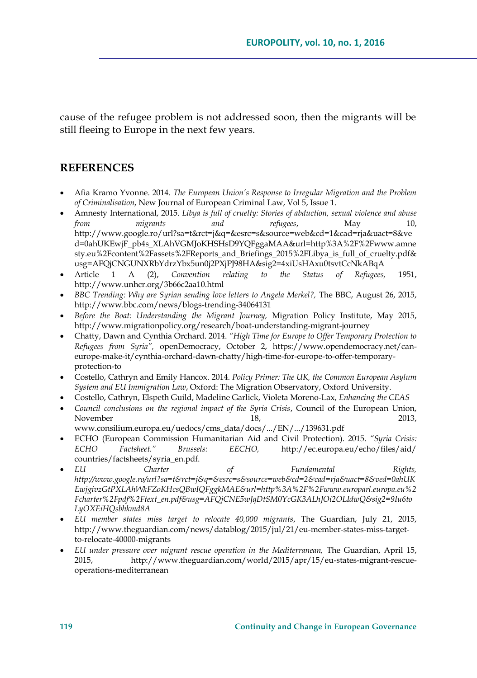cause of the refugee problem is not addressed soon, then the migrants will be still fleeing to Europe in the next few years.

## **REFERENCES**

- Afia Kramo Yvonne. 2014. *The European Union's Response to Irregular Migration and the Problem of Criminalisation*, New Journal of European Criminal Law, Vol 5, Issue 1.
- Amnesty International, 2015. *Libya is full of cruelty: Stories of abduction, sexual violence and abuse from migrants and refugees*, May 10, [http://www.google.ro/url?sa=t&rct=j&q=&esrc=s&source=web&cd=1&cad=rja&uact=8&ve](http://www.google.ro/url?sa=t&rct=j&q=&esrc=s&source=web&cd=1&cad=rja&uact=8&ved=0ahUKEwjF_pb4s_XLAhVGMJoKHSHsD9YQFggaMAA&url=http%3A%2F%2Fwww.amnesty.eu%2Fcontent%2Fassets%2FReports_and_Briefings_2015%2FLibya_is_full_of_cruelty.pdf&usg=AFQjCNGUNXRbYdrzYbx5un0j2PXjPJ98HA&sig2=4xiUsHAxu0tsvtCcNkABqA) [d=0ahUKEwjF\\_pb4s\\_XLAhVGMJoKHSHsD9YQFggaMAA&url=http%3A%2F%2Fwww.amne](http://www.google.ro/url?sa=t&rct=j&q=&esrc=s&source=web&cd=1&cad=rja&uact=8&ved=0ahUKEwjF_pb4s_XLAhVGMJoKHSHsD9YQFggaMAA&url=http%3A%2F%2Fwww.amnesty.eu%2Fcontent%2Fassets%2FReports_and_Briefings_2015%2FLibya_is_full_of_cruelty.pdf&usg=AFQjCNGUNXRbYdrzYbx5un0j2PXjPJ98HA&sig2=4xiUsHAxu0tsvtCcNkABqA) [sty.eu%2Fcontent%2Fassets%2FReports\\_and\\_Briefings\\_2015%2FLibya\\_is\\_full\\_of\\_cruelty.pdf&](http://www.google.ro/url?sa=t&rct=j&q=&esrc=s&source=web&cd=1&cad=rja&uact=8&ved=0ahUKEwjF_pb4s_XLAhVGMJoKHSHsD9YQFggaMAA&url=http%3A%2F%2Fwww.amnesty.eu%2Fcontent%2Fassets%2FReports_and_Briefings_2015%2FLibya_is_full_of_cruelty.pdf&usg=AFQjCNGUNXRbYdrzYbx5un0j2PXjPJ98HA&sig2=4xiUsHAxu0tsvtCcNkABqA) [usg=AFQjCNGUNXRbYdrzYbx5un0j2PXjPJ98HA&sig2=4xiUsHAxu0tsvtCcNkABqA](http://www.google.ro/url?sa=t&rct=j&q=&esrc=s&source=web&cd=1&cad=rja&uact=8&ved=0ahUKEwjF_pb4s_XLAhVGMJoKHSHsD9YQFggaMAA&url=http%3A%2F%2Fwww.amnesty.eu%2Fcontent%2Fassets%2FReports_and_Briefings_2015%2FLibya_is_full_of_cruelty.pdf&usg=AFQjCNGUNXRbYdrzYbx5un0j2PXjPJ98HA&sig2=4xiUsHAxu0tsvtCcNkABqA)
- Article 1 A (2), *Convention relating to the Status of Refugees,* 1951, <http://www.unhcr.org/3b66c2aa10.html>
- *BBC Trending: Why are Syrian sending love letters to Angela Merkel?,* The BBC, August 26, 2015, http://www.bbc.com/news/blogs-trending-34064131
- *Before the Boat: Understanding the Migrant Journey,* Migration Policy Institute, May 2015, <http://www.migrationpolicy.org/research/boat-understanding-migrant-journey>
- Chatty, Dawn and Cynthia Orchard. 2014. *"High Time for Europe to Offer Temporary Protection to Refugees from Syria",* openDemocracy, October 2, [https://www.opendemocracy.net/can](https://www.opendemocracy.net/can-europe-make-it/cynthia-orchard-dawn-chatty/high-time-for-europe-to-offer-temporary-protection-to)[europe-make-it/cynthia-orchard-dawn-chatty/high-time-for-europe-to-offer-temporary](https://www.opendemocracy.net/can-europe-make-it/cynthia-orchard-dawn-chatty/high-time-for-europe-to-offer-temporary-protection-to)[protection-to](https://www.opendemocracy.net/can-europe-make-it/cynthia-orchard-dawn-chatty/high-time-for-europe-to-offer-temporary-protection-to)
- Costello, Cathryn and Emily Hancox. 2014. *Policy Primer: The UK, the Common European Asylum System and EU Immigration Law*, Oxford: The Migration Observatory, Oxford University.
- Costello, Cathryn, Elspeth Guild, Madeline Garlick, Violeta Moreno-Lax, *Enhancing the CEAS*
- *Council conclusions on the regional impact of the Syria Crisis*, Council of the European Union, November 2013, [www.consilium.europa.eu/uedocs/cms\\_data/docs/.../EN/.../139631.pdf](http://www.consilium.europa.eu/uedocs/cms_data/docs/.../EN/.../139631.pdf)
- ECHO (European Commission Humanitarian Aid and Civil Protection). 2015. *"Syria Crisis: ECHO Factsheet." Brussels: EECHO,* http://ec.europa.eu/echo/files/aid/ countries/factsheets/syria\_en.pdf.
- *EU Charter of Fundamental Rights, [http://www.google.ro/url?sa=t&rct=j&q=&esrc=s&source=web&cd=2&cad=rja&uact=8&ved=0ahUK](http://www.google.ro/url?sa=t&rct=j&q=&esrc=s&source=web&cd=2&cad=rja&uact=8&ved=0ahUKEwjgivzGtPXLAhWkFZoKHcsQBwIQFggkMAE&url=http%3A%2F%2Fwww.europarl.europa.eu%2Fcharter%2Fpdf%2Ftext_en.pdf&usg=AFQjCNE5wJqDtSM0YcGK3ALhJOi2OLIdwQ&sig2=9Iu6toLyOXEiHQsbhkmd8A) [EwjgivzGtPXLAhWkFZoKHcsQBwIQFggkMAE&url=http%3A%2F%2Fwww.europarl.europa.eu%2](http://www.google.ro/url?sa=t&rct=j&q=&esrc=s&source=web&cd=2&cad=rja&uact=8&ved=0ahUKEwjgivzGtPXLAhWkFZoKHcsQBwIQFggkMAE&url=http%3A%2F%2Fwww.europarl.europa.eu%2Fcharter%2Fpdf%2Ftext_en.pdf&usg=AFQjCNE5wJqDtSM0YcGK3ALhJOi2OLIdwQ&sig2=9Iu6toLyOXEiHQsbhkmd8A) [Fcharter%2Fpdf%2Ftext\\_en.pdf&usg=AFQjCNE5wJqDtSM0YcGK3ALhJOi2OLIdwQ&sig2=9Iu6to](http://www.google.ro/url?sa=t&rct=j&q=&esrc=s&source=web&cd=2&cad=rja&uact=8&ved=0ahUKEwjgivzGtPXLAhWkFZoKHcsQBwIQFggkMAE&url=http%3A%2F%2Fwww.europarl.europa.eu%2Fcharter%2Fpdf%2Ftext_en.pdf&usg=AFQjCNE5wJqDtSM0YcGK3ALhJOi2OLIdwQ&sig2=9Iu6toLyOXEiHQsbhkmd8A) [LyOXEiHQsbhkmd8A](http://www.google.ro/url?sa=t&rct=j&q=&esrc=s&source=web&cd=2&cad=rja&uact=8&ved=0ahUKEwjgivzGtPXLAhWkFZoKHcsQBwIQFggkMAE&url=http%3A%2F%2Fwww.europarl.europa.eu%2Fcharter%2Fpdf%2Ftext_en.pdf&usg=AFQjCNE5wJqDtSM0YcGK3ALhJOi2OLIdwQ&sig2=9Iu6toLyOXEiHQsbhkmd8A)*
- *EU member states miss target to relocate 40,000 migrants*, The Guardian, July 21, 2015, http://www.theguardian.com/news/datablog/2015/jul/21/eu-member-states-miss-targetto-relocate-40000-migrants
- *EU under pressure over migrant rescue operation in the Mediterranean,* The Guardian, April 15, 2015, http://www.theguardian.com/world/2015/apr/15/eu-states-migrant-rescueoperations-mediterranean